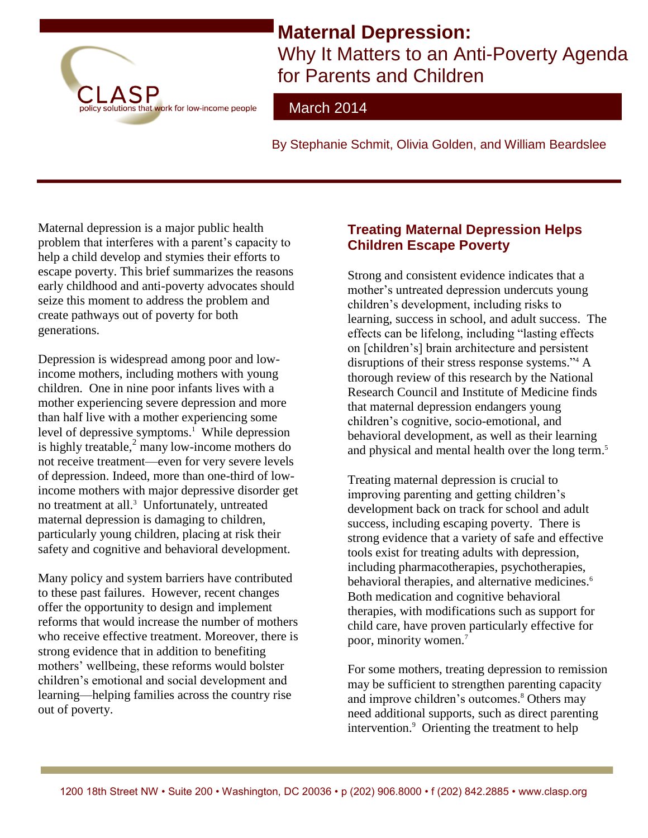

# **Maternal Depression:**

Why It Matters to an Anti-Poverty Agenda for Parents and Children

# March 2014

By Stephanie Schmit, Olivia Golden, and William Beardslee

Maternal depression is a major public health problem that interferes with a parent's capacity to help a child develop and stymies their efforts to escape poverty. This brief summarizes the reasons early childhood and anti-poverty advocates should seize this moment to address the problem and create pathways out of poverty for both generations.

Depression is widespread among poor and lowincome mothers, including mothers with young children. One in nine poor infants lives with a mother experiencing severe depression and more than half live with a mother experiencing some level of depressive symptoms.<sup>1</sup> While depression is highly treatable, $\frac{2}{3}$  many low-income mothers do not receive treatment—even for very severe levels of depression. Indeed, more than one-third of lowincome mothers with major depressive disorder get no treatment at all.<sup>3</sup> Unfortunately, untreated maternal depression is damaging to children, particularly young children, placing at risk their safety and cognitive and behavioral development.

Many policy and system barriers have contributed to these past failures. However, recent changes offer the opportunity to design and implement reforms that would increase the number of mothers who receive effective treatment. Moreover, there is strong evidence that in addition to benefiting mothers' wellbeing, these reforms would bolster children's emotional and social development and learning—helping families across the country rise out of poverty.

# **Treating Maternal Depression Helps Children Escape Poverty**

Strong and consistent evidence indicates that a mother's untreated depression undercuts young children's development, including risks to learning, success in school, and adult success. The effects can be lifelong, including "lasting effects on [children's] brain architecture and persistent disruptions of their stress response systems." <sup>4</sup> A thorough review of this research by the National Research Council and Institute of Medicine finds that maternal depression endangers young children's cognitive, socio-emotional, and behavioral development, as well as their learning and physical and mental health over the long term. 5

Treating maternal depression is crucial to improving parenting and getting children's development back on track for school and adult success, including escaping poverty. There is strong evidence that a variety of safe and effective tools exist for treating adults with depression, including pharmacotherapies, psychotherapies, behavioral therapies, and alternative medicines.<sup>6</sup> Both medication and cognitive behavioral therapies, with modifications such as support for child care, have proven particularly effective for poor, minority women.<sup>7</sup>

For some mothers, treating depression to remission may be sufficient to strengthen parenting capacity and improve children's outcomes. <sup>8</sup> Others may need additional supports, such as direct parenting intervention. <sup>9</sup> Orienting the treatment to help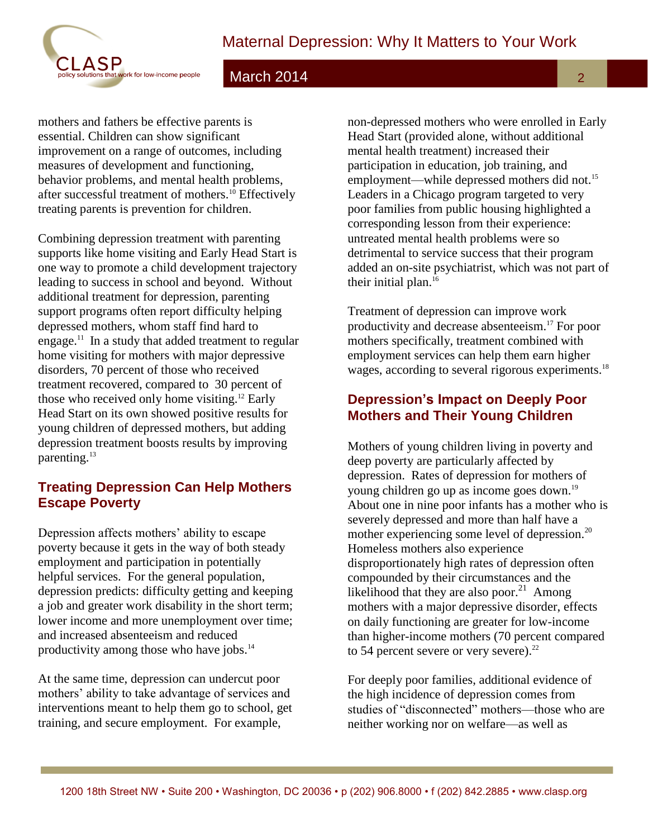

mothers and fathers be effective parents is essential. Children can show significant improvement on a range of outcomes, including measures of development and functioning, behavior problems, and mental health problems, after successful treatment of mothers. <sup>10</sup> Effectively treating parents is prevention for children.

Combining depression treatment with parenting supports like home visiting and Early Head Start is one way to promote a child development trajectory leading to success in school and beyond. Without additional treatment for depression, parenting support programs often report difficulty helping depressed mothers, whom staff find hard to engage.<sup>11</sup> In a study that added treatment to regular home visiting for mothers with major depressive disorders, 70 percent of those who received treatment recovered, compared to 30 percent of those who received only home visiting. <sup>12</sup> Early Head Start on its own showed positive results for young children of depressed mothers, but adding depression treatment boosts results by improving parenting. 13

### **Treating Depression Can Help Mothers Escape Poverty**

Depression affects mothers' ability to escape poverty because it gets in the way of both steady employment and participation in potentially helpful services. For the general population, depression predicts: difficulty getting and keeping a job and greater work disability in the short term; lower income and more unemployment over time; and increased absenteeism and reduced productivity among those who have jobs. 14

At the same time, depression can undercut poor mothers' ability to take advantage of services and interventions meant to help them go to school, get training, and secure employment. For example,

non-depressed mothers who were enrolled in Early Head Start (provided alone, without additional mental health treatment) increased their participation in education, job training, and employment—while depressed mothers did not. 15 Leaders in a Chicago program targeted to very poor families from public housing highlighted a corresponding lesson from their experience: untreated mental health problems were so detrimental to service success that their program added an on-site psychiatrist, which was not part of their initial plan. 16

Treatment of depression can improve work productivity and decrease absenteeism. <sup>17</sup> For poor mothers specifically, treatment combined with employment services can help them earn higher wages, according to several rigorous experiments.<sup>18</sup>

# **Depression's Impact on Deeply Poor Mothers and Their Young Children**

Mothers of young children living in poverty and deep poverty are particularly affected by depression. Rates of depression for mothers of young children go up as income goes down. 19 About one in nine poor infants has a mother who is severely depressed and more than half have a mother experiencing some level of depression. 20 Homeless mothers also experience disproportionately high rates of depression often compounded by their circumstances and the likelihood that they are also poor.<sup>21</sup> Among mothers with a major depressive disorder, effects on daily functioning are greater for low-income than higher-income mothers (70 percent compared to 54 percent severe or very severe). $22$ 

For deeply poor families, additional evidence of the high incidence of depression comes from studies of "disconnected" mothers—those who are neither working nor on welfare—as well as

2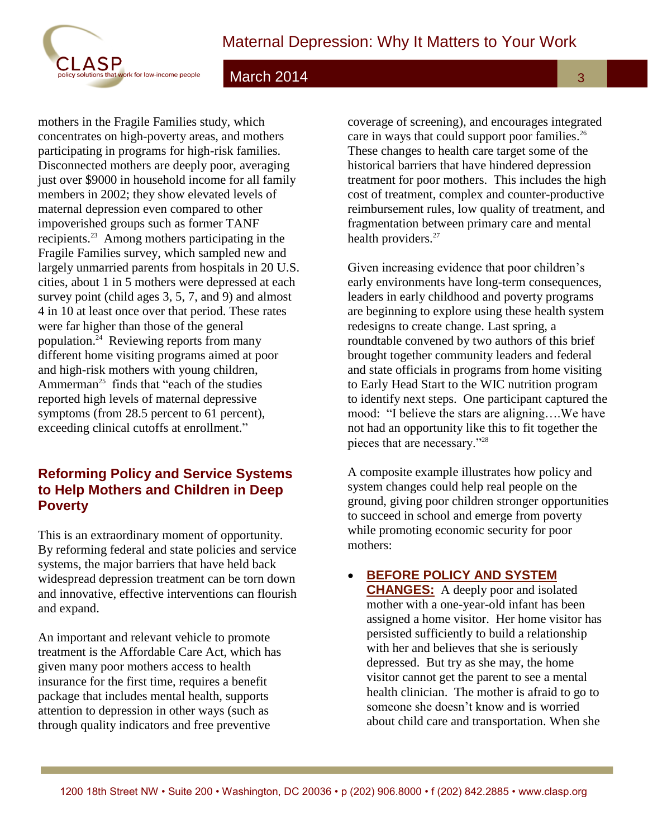

mothers in the Fragile Families study, which concentrates on high-poverty areas, and mothers participating in programs for high-risk families. Disconnected mothers are deeply poor, averaging just over \$9000 in household income for all family members in 2002; they show elevated levels of maternal depression even compared to other impoverished groups such as former TANF recipients. 23 Among mothers participating in the Fragile Families survey, which sampled new and largely unmarried parents from hospitals in 20 U.S. cities, about 1 in 5 mothers were depressed at each survey point (child ages 3, 5, 7, and 9) and almost 4 in 10 at least once over that period. These rates were far higher than those of the general population. 24 Reviewing reports from many different home visiting programs aimed at poor and high-risk mothers with young children, Ammerman<sup>25</sup> finds that "each of the studies" reported high levels of maternal depressive symptoms (from 28.5 percent to 61 percent), exceeding clinical cutoffs at enrollment."

## **Reforming Policy and Service Systems to Help Mothers and Children in Deep Poverty**

This is an extraordinary moment of opportunity. By reforming federal and state policies and service systems, the major barriers that have held back widespread depression treatment can be torn down and innovative, effective interventions can flourish and expand.

An important and relevant vehicle to promote treatment is the Affordable Care Act, which has given many poor mothers access to health insurance for the first time, requires a benefit package that includes mental health, supports attention to depression in other ways (such as through quality indicators and free preventive

coverage of screening), and encourages integrated care in ways that could support poor families.<sup>26</sup> These changes to health care target some of the historical barriers that have hindered depression treatment for poor mothers. This includes the high cost of treatment, complex and counter-productive reimbursement rules, low quality of treatment, and fragmentation between primary care and mental health providers.<sup>27</sup>

Given increasing evidence that poor children's early environments have long-term consequences, leaders in early childhood and poverty programs are beginning to explore using these health system redesigns to create change. Last spring, a roundtable convened by two authors of this brief brought together community leaders and federal and state officials in programs from home visiting to Early Head Start to the WIC nutrition program to identify next steps. One participant captured the mood: "I believe the stars are aligning….We have not had an opportunity like this to fit together the pieces that are necessary."<sup>28</sup>

A composite example illustrates how policy and system changes could help real people on the ground, giving poor children stronger opportunities to succeed in school and emerge from poverty while promoting economic security for poor mothers:

# **BEFORE POLICY AND SYSTEM**

**CHANGES:** A deeply poor and isolated mother with a one-year-old infant has been assigned a home visitor. Her home visitor has persisted sufficiently to build a relationship with her and believes that she is seriously depressed. But try as she may, the home visitor cannot get the parent to see a mental health clinician. The mother is afraid to go to someone she doesn't know and is worried about child care and transportation. When she

3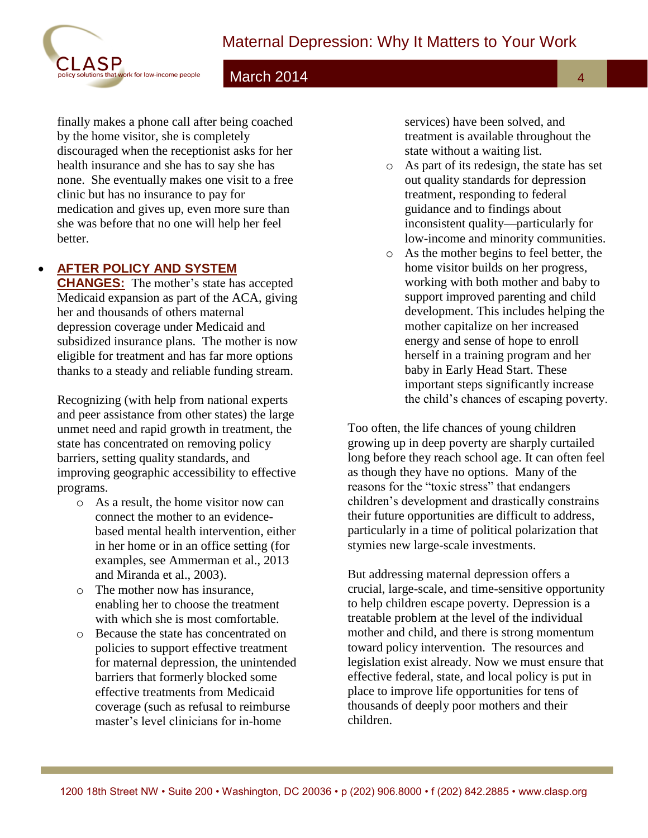

finally makes a phone call after being coached by the home visitor, she is completely discouraged when the receptionist asks for her health insurance and she has to say she has none. She eventually makes one visit to a free clinic but has no insurance to pay for medication and gives up, even more sure than she was before that no one will help her feel better.

#### **AFTER POLICY AND SYSTEM**

**CHANGES:** The mother's state has accepted Medicaid expansion as part of the ACA, giving her and thousands of others maternal depression coverage under Medicaid and subsidized insurance plans. The mother is now eligible for treatment and has far more options thanks to a steady and reliable funding stream.

Recognizing (with help from national experts and peer assistance from other states) the large unmet need and rapid growth in treatment, the state has concentrated on removing policy barriers, setting quality standards, and improving geographic accessibility to effective programs.

- o As a result, the home visitor now can connect the mother to an evidencebased mental health intervention, either in her home or in an office setting (for examples, see Ammerman et al., 2013 and Miranda et al., 2003).
- o The mother now has insurance, enabling her to choose the treatment with which she is most comfortable.
- o Because the state has concentrated on policies to support effective treatment for maternal depression, the unintended barriers that formerly blocked some effective treatments from Medicaid coverage (such as refusal to reimburse master's level clinicians for in-home

services) have been solved, and treatment is available throughout the state without a waiting list.

- o As part of its redesign, the state has set out quality standards for depression treatment, responding to federal guidance and to findings about inconsistent quality—particularly for low-income and minority communities.
- o As the mother begins to feel better, the home visitor builds on her progress, working with both mother and baby to support improved parenting and child development. This includes helping the mother capitalize on her increased energy and sense of hope to enroll herself in a training program and her baby in Early Head Start. These important steps significantly increase the child's chances of escaping poverty.

Too often, the life chances of young children growing up in deep poverty are sharply curtailed long before they reach school age. It can often feel as though they have no options. Many of the reasons for the "toxic stress" that endangers children's development and drastically constrains their future opportunities are difficult to address, particularly in a time of political polarization that stymies new large-scale investments.

But addressing maternal depression offers a crucial, large-scale, and time-sensitive opportunity to help children escape poverty. Depression is a treatable problem at the level of the individual mother and child, and there is strong momentum toward policy intervention. The resources and legislation exist already. Now we must ensure that effective federal, state, and local policy is put in place to improve life opportunities for tens of thousands of deeply poor mothers and their children.

4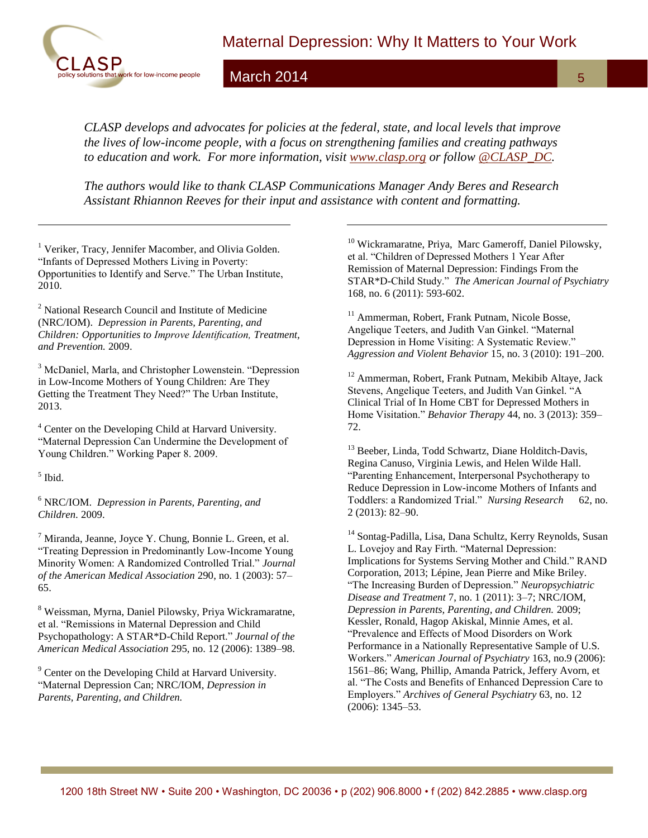

5

 *CLASP develops and advocates for policies at the federal, state, and local levels that improve the lives of low-income people, with a focus on strengthening families and creating pathways to education and work. For more information, visit [www.clasp.org](http://www.clasp.org/) or follow [@CLASP\\_DC.](http://www.twitter.com/CLASP_DC)*

*The authors would like to thank CLASP Communications Manager Andy Beres and Research Assistant Rhiannon Reeves for their input and assistance with content and formatting.*

<sup>1</sup> Veriker, Tracy, Jennifer Macomber, and Olivia Golden. "Infants of Depressed Mothers Living in Poverty: Opportunities to Identify and Serve." The Urban Institute, 2010.

<sup>2</sup> National Research Council and Institute of Medicine (NRC/IOM). *Depression in Parents, Parenting, and Children: Opportunities to Improve Identification, Treatment, and Prevention.* 2009.

<sup>3</sup> McDaniel, Marla, and Christopher Lowenstein. "Depression in Low-Income Mothers of Young Children: Are They Getting the Treatment They Need?" The Urban Institute, 2013.

<sup>4</sup> Center on the Developing Child at Harvard University. "Maternal Depression Can Undermine the Development of Young Children." Working Paper 8. 2009.

5 Ibid.

 $\overline{a}$ 

<sup>6</sup> NRC/IOM. *Depression in Parents, Parenting, and Children.* 2009.

 $<sup>7</sup>$  Miranda, Jeanne, Joyce Y. Chung, Bonnie L. Green, et al.</sup> "Treating Depression in Predominantly Low-Income Young Minority Women: A Randomized Controlled Trial." *Journal of the American Medical Association* 290, no. 1 (2003): 57– 65.

<sup>8</sup> Weissman, Myrna, Daniel Pilowsky, Priya Wickramaratne, et al. "Remissions in Maternal Depression and Child Psychopathology: A STAR\*D-Child Report." *Journal of the American Medical Association* 295, no. 12 (2006): 1389–98.

<sup>9</sup> Center on the Developing Child at Harvard University. "Maternal Depression Can; NRC/IOM, *Depression in Parents, Parenting, and Children.*

<sup>10</sup> Wickramaratne, Priya, Marc Gameroff, Daniel Pilowsky. et al. "Children of Depressed Mothers 1 Year After Remission of Maternal Depression: Findings From the STAR\*D-Child Study." *The American Journal of Psychiatry* 168, no. 6 (2011): 593-602.

<sup>11</sup> Ammerman, Robert, Frank Putnam, Nicole Bosse, Angelique Teeters, and Judith Van Ginkel. "Maternal Depression in Home Visiting: A Systematic Review." *Aggression and Violent Behavior* 15, no. 3 (2010): 191–200.

<sup>12</sup> Ammerman, Robert, Frank Putnam, Mekibib Altaye, Jack Stevens, Angelique Teeters, and Judith Van Ginkel. "A Clinical Trial of In Home CBT for Depressed Mothers in Home Visitation." *Behavior Therapy* 44, no. 3 (2013): 359– 72.

<sup>13</sup> Beeber, Linda, Todd Schwartz, Diane Holditch-Davis, Regina Canuso, Virginia Lewis, and Helen Wilde Hall. "Parenting Enhancement, Interpersonal Psychotherapy to Reduce Depression in Low-income Mothers of Infants and Toddlers: a Randomized Trial." *Nursing Research* 62, no. 2 (2013): 82–90.

<sup>14</sup> Sontag-Padilla, Lisa, Dana Schultz, Kerry Reynolds, Susan L. Lovejoy and Ray Firth. "Maternal Depression: Implications for Systems Serving Mother and Child." RAND Corporation, 2013; Lépine, Jean Pierre and Mike Briley. "The Increasing Burden of Depression." *Neuropsychiatric Disease and Treatment* 7, no. 1 (2011): 3–7; NRC/IOM, *Depression in Parents, Parenting, and Children.* 2009; Kessler, Ronald, Hagop Akiskal, Minnie Ames, et al. "Prevalence and Effects of Mood Disorders on Work Performance in a Nationally Representative Sample of U.S. Workers." *American Journal of Psychiatry* 163, no.9 (2006): 1561–86; Wang, Phillip, Amanda Patrick, Jeffery Avorn, et al. "The Costs and Benefits of Enhanced Depression Care to Employers." *Archives of General Psychiatry* 63, no. 12 (2006): 1345–53.